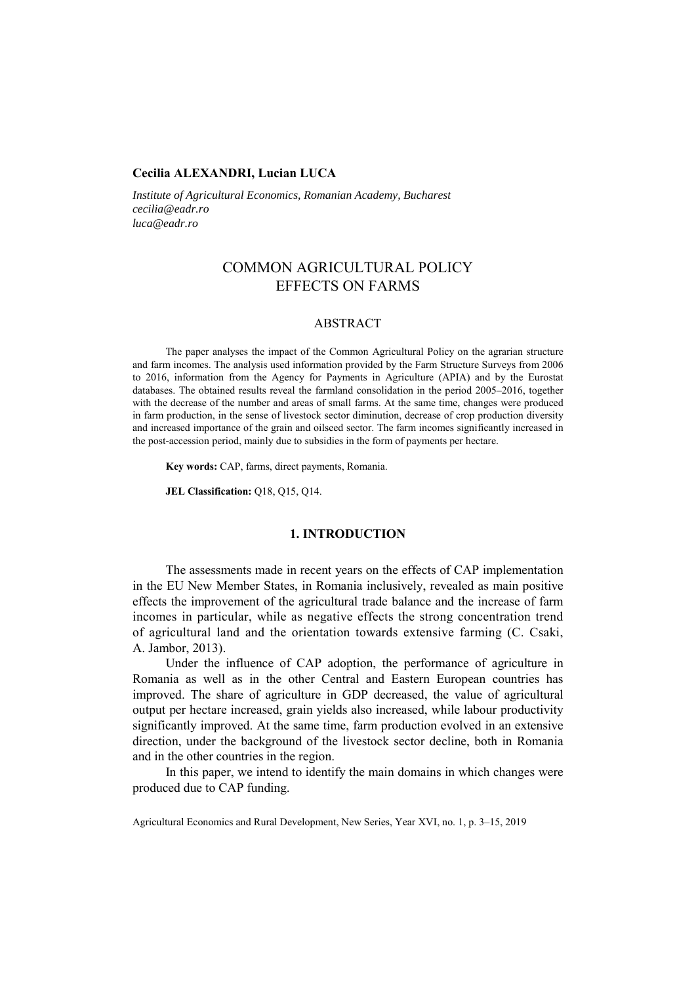## **Cecilia ALEXANDRI, Lucian LUCA**

*Institute of Agricultural Economics, Romanian Academy, Bucharest cecilia@eadr.ro luca@eadr.ro* 

# COMMON AGRICULTURAL POLICY EFFECTS ON FARMS

## ABSTRACT

The paper analyses the impact of the Common Agricultural Policy on the agrarian structure and farm incomes. The analysis used information provided by the Farm Structure Surveys from 2006 to 2016, information from the Agency for Payments in Agriculture (APIA) and by the Eurostat databases. The obtained results reveal the farmland consolidation in the period 2005–2016, together with the decrease of the number and areas of small farms. At the same time, changes were produced in farm production, in the sense of livestock sector diminution, decrease of crop production diversity and increased importance of the grain and oilseed sector. The farm incomes significantly increased in the post-accession period, mainly due to subsidies in the form of payments per hectare.

**Key words:** CAP, farms, direct payments, Romania.

**JEL Classification:** Q18, Q15, Q14.

## **1. INTRODUCTION**

The assessments made in recent years on the effects of CAP implementation in the EU New Member States, in Romania inclusively, revealed as main positive effects the improvement of the agricultural trade balance and the increase of farm incomes in particular, while as negative effects the strong concentration trend of agricultural land and the orientation towards extensive farming (C. Csaki, A. Jambor, 2013).

Under the influence of CAP adoption, the performance of agriculture in Romania as well as in the other Central and Eastern European countries has improved. The share of agriculture in GDP decreased, the value of agricultural output per hectare increased, grain yields also increased, while labour productivity significantly improved. At the same time, farm production evolved in an extensive direction, under the background of the livestock sector decline, both in Romania and in the other countries in the region.

In this paper, we intend to identify the main domains in which changes were produced due to CAP funding.

Agricultural Economics and Rural Development, New Series, Year XVI, no. 1, p. 3–15, 2019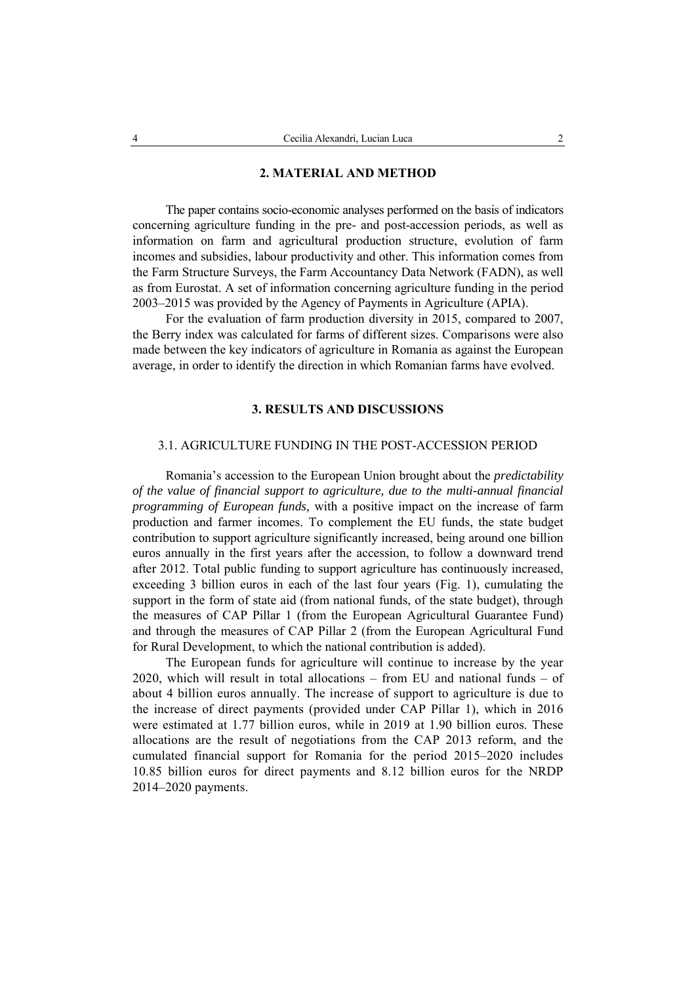### **2. MATERIAL AND METHOD**

The paper contains socio-economic analyses performed on the basis of indicators concerning agriculture funding in the pre- and post-accession periods, as well as information on farm and agricultural production structure, evolution of farm incomes and subsidies, labour productivity and other. This information comes from the Farm Structure Surveys, the Farm Accountancy Data Network (FADN), as well as from Eurostat. A set of information concerning agriculture funding in the period 2003–2015 was provided by the Agency of Payments in Agriculture (APIA).

For the evaluation of farm production diversity in 2015, compared to 2007, the Berry index was calculated for farms of different sizes. Comparisons were also made between the key indicators of agriculture in Romania as against the European average, in order to identify the direction in which Romanian farms have evolved.

## **3. RESULTS AND DISCUSSIONS**

### 3.1. AGRICULTURE FUNDING IN THE POST-ACCESSION PERIOD

Romania's accession to the European Union brought about the *predictability of the value of financial support to agriculture, due to the multi-annual financial programming of European funds,* with a positive impact on the increase of farm production and farmer incomes. To complement the EU funds, the state budget contribution to support agriculture significantly increased, being around one billion euros annually in the first years after the accession, to follow a downward trend after 2012. Total public funding to support agriculture has continuously increased, exceeding 3 billion euros in each of the last four years (Fig. 1), cumulating the support in the form of state aid (from national funds, of the state budget), through the measures of CAP Pillar 1 (from the European Agricultural Guarantee Fund) and through the measures of CAP Pillar 2 (from the European Agricultural Fund for Rural Development, to which the national contribution is added).

The European funds for agriculture will continue to increase by the year 2020, which will result in total allocations – from EU and national funds – of about 4 billion euros annually. The increase of support to agriculture is due to the increase of direct payments (provided under CAP Pillar 1), which in 2016 were estimated at 1.77 billion euros, while in 2019 at 1.90 billion euros. These allocations are the result of negotiations from the CAP 2013 reform, and the cumulated financial support for Romania for the period 2015–2020 includes 10.85 billion euros for direct payments and 8.12 billion euros for the NRDP 2014–2020 payments.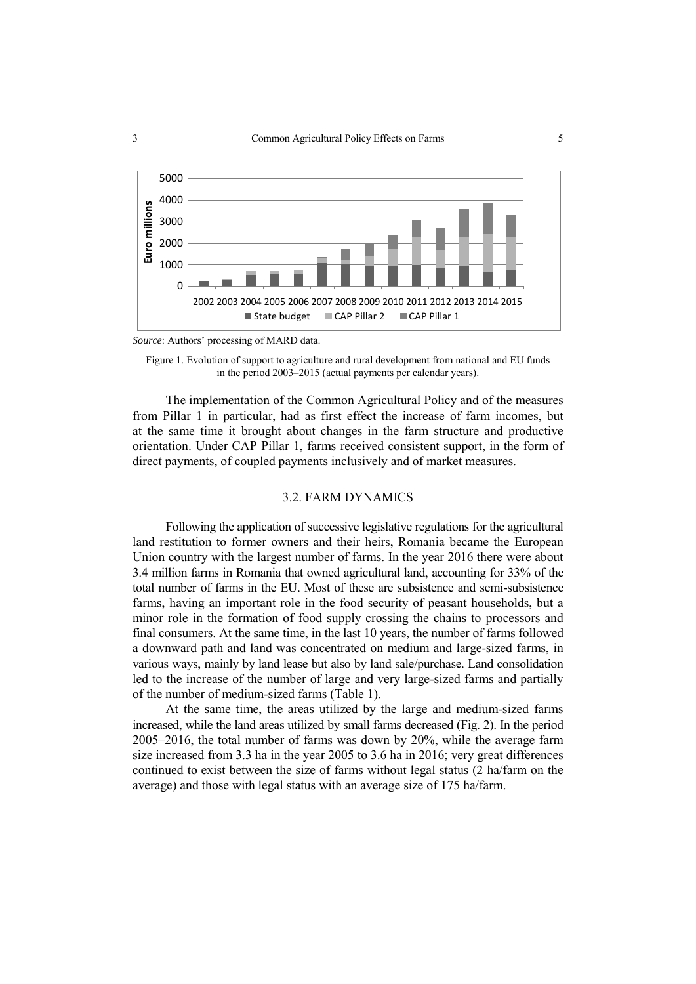

*Source*: Authors' processing of MARD data.

Figure 1. Evolution of support to agriculture and rural development from national and EU funds in the period 2003–2015 (actual payments per calendar years).

The implementation of the Common Agricultural Policy and of the measures from Pillar 1 in particular, had as first effect the increase of farm incomes, but at the same time it brought about changes in the farm structure and productive orientation. Under CAP Pillar 1, farms received consistent support, in the form of direct payments, of coupled payments inclusively and of market measures.

### 3.2. FARM DYNAMICS

Following the application of successive legislative regulations for the agricultural land restitution to former owners and their heirs, Romania became the European Union country with the largest number of farms. In the year 2016 there were about 3.4 million farms in Romania that owned agricultural land, accounting for 33% of the total number of farms in the EU. Most of these are subsistence and semi-subsistence farms, having an important role in the food security of peasant households, but a minor role in the formation of food supply crossing the chains to processors and final consumers. At the same time, in the last 10 years, the number of farms followed a downward path and land was concentrated on medium and large-sized farms, in various ways, mainly by land lease but also by land sale/purchase. Land consolidation led to the increase of the number of large and very large-sized farms and partially of the number of medium-sized farms (Table 1).

At the same time, the areas utilized by the large and medium-sized farms increased, while the land areas utilized by small farms decreased (Fig. 2). In the period 2005–2016, the total number of farms was down by 20%, while the average farm size increased from 3.3 ha in the year 2005 to 3.6 ha in 2016; very great differences continued to exist between the size of farms without legal status (2 ha/farm on the average) and those with legal status with an average size of 175 ha/farm.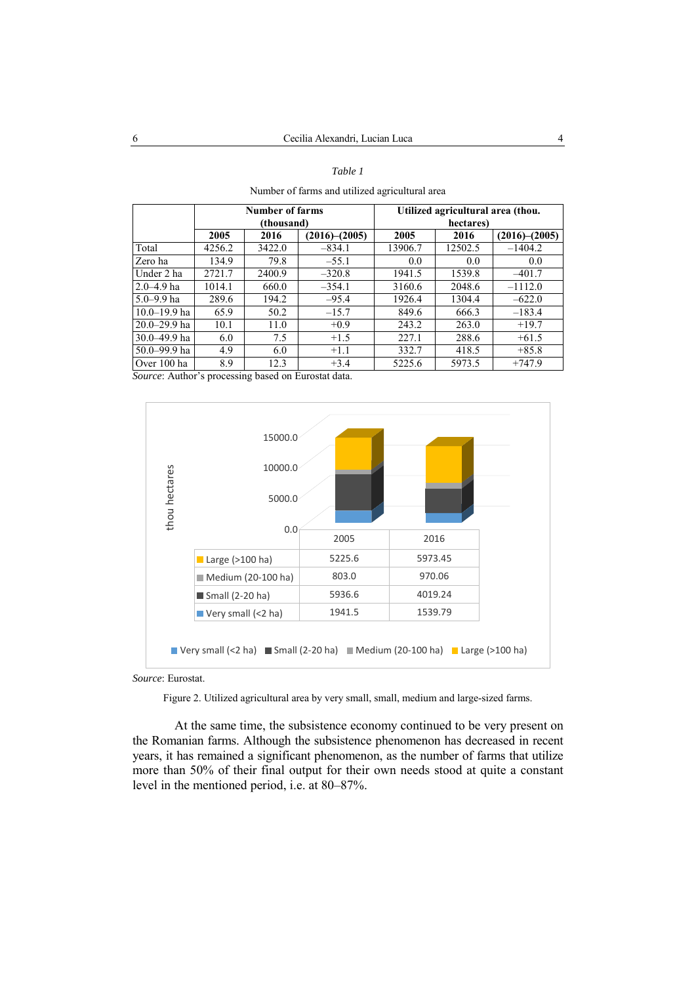### *Table 1*

Number of farms and utilized agricultural area

|                  | Number of farms               |        |          | Utilized agricultural area (thou. |               |           |  |
|------------------|-------------------------------|--------|----------|-----------------------------------|---------------|-----------|--|
|                  | (thousand)                    |        |          | hectares)                         |               |           |  |
|                  | 2005<br>(2016)–(2005)<br>2016 |        | 2005     | 2016                              | (2016)–(2005) |           |  |
| Total            | 4256.2                        | 3422.0 | $-834.1$ | 13906.7                           | 12502.5       | $-1404.2$ |  |
| Zero ha          | 134.9                         | 79.8   | $-55.1$  | 0.0                               | 0.0           | 0.0       |  |
| Under 2 ha       | 2721.7                        | 2400.9 | $-320.8$ | 1941.5                            | 1539.8        | $-401.7$  |  |
| $2.0 - 4.9$ ha   | 1014.1                        | 660.0  | $-354.1$ | 3160.6                            | 2048.6        | $-1112.0$ |  |
| $5.0 - 9.9$ ha   | 289.6                         | 194.2  | $-95.4$  | 1926.4                            | 1304.4        | $-622.0$  |  |
| $10.0 - 19.9$ ha | 65.9                          | 50.2   | $-15.7$  | 849.6                             | 666.3         | $-183.4$  |  |
| $20.0 - 29.9$ ha | 10.1                          | 11.0   | $+0.9$   | 243.2                             | 263.0         | $+19.7$   |  |
| $30.0 - 49.9$ ha | 6.0                           | 7.5    | $+1.5$   | 227.1                             | 288.6         | $+61.5$   |  |
| 50.0–99.9 ha     | 4.9                           | 6.0    | $+1.1$   | 332.7                             | 418.5         | $+85.8$   |  |
| Over 100 ha      | 8.9                           | 12.3   | $+3.4$   | 5225.6                            | 5973.5        | $+747.9$  |  |

*Source*: Author's processing based on Eurostat data.



*Source*: Eurostat.

Figure 2. Utilized agricultural area by very small, small, medium and large-sized farms.

At the same time, the subsistence economy continued to be very present on the Romanian farms. Although the subsistence phenomenon has decreased in recent years, it has remained a significant phenomenon, as the number of farms that utilize more than 50% of their final output for their own needs stood at quite a constant level in the mentioned period, i.e. at 80–87%.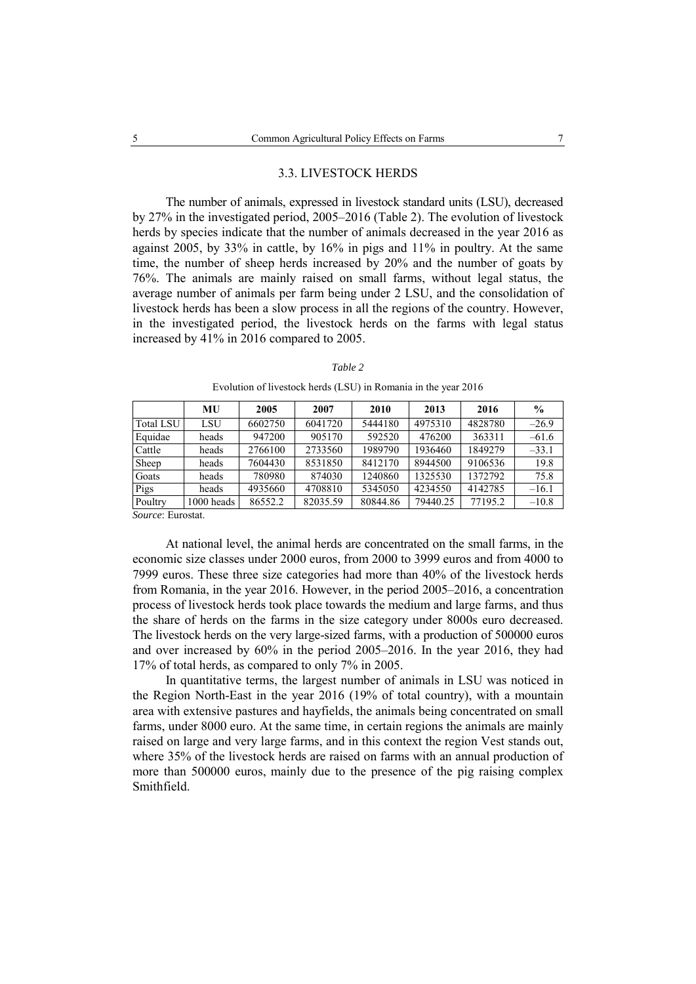### 3.3. LIVESTOCK HERDS

The number of animals, expressed in livestock standard units (LSU), decreased by 27% in the investigated period, 2005–2016 (Table 2). The evolution of livestock herds by species indicate that the number of animals decreased in the year 2016 as against 2005, by 33% in cattle, by 16% in pigs and 11% in poultry. At the same time, the number of sheep herds increased by 20% and the number of goats by 76%. The animals are mainly raised on small farms, without legal status, the average number of animals per farm being under 2 LSU, and the consolidation of livestock herds has been a slow process in all the regions of the country. However, in the investigated period, the livestock herds on the farms with legal status increased by 41% in 2016 compared to 2005.

|                  | MU         | 2005    | 2007     | 2010     | 2013     | 2016    | $\frac{0}{0}$ |
|------------------|------------|---------|----------|----------|----------|---------|---------------|
| <b>Total LSU</b> | LSU        | 6602750 | 6041720  | 5444180  | 4975310  | 4828780 | $-26.9$       |
| Equidae          | heads      | 947200  | 905170   | 592520   | 476200   | 363311  | $-61.6$       |
| Cattle           | heads      | 2766100 | 2733560  | 1989790  | 1936460  | 1849279 | $-33.1$       |
| Sheep            | heads      | 7604430 | 8531850  | 8412170  | 8944500  | 9106536 | 19.8          |
| Goats            | heads      | 780980  | 874030   | 1240860  | 1325530  | 1372792 | 75.8          |
| Pigs             | heads      | 4935660 | 4708810  | 5345050  | 4234550  | 4142785 | $-16.1$       |
| Poultry          | 1000 heads | 86552.2 | 82035.59 | 80844.86 | 79440.25 | 77195.2 | $-10.8$       |

*Table 2* 

| Evolution of livestock herds (LSU) in Romania in the year 2016 |  |  |  |
|----------------------------------------------------------------|--|--|--|
|----------------------------------------------------------------|--|--|--|

*Source*: Eurostat.

At national level, the animal herds are concentrated on the small farms, in the economic size classes under 2000 euros, from 2000 to 3999 euros and from 4000 to 7999 euros. These three size categories had more than 40% of the livestock herds from Romania, in the year 2016. However, in the period 2005–2016, a concentration process of livestock herds took place towards the medium and large farms, and thus the share of herds on the farms in the size category under 8000s euro decreased. The livestock herds on the very large-sized farms, with a production of 500000 euros and over increased by 60% in the period 2005–2016. In the year 2016, they had 17% of total herds, as compared to only 7% in 2005.

In quantitative terms, the largest number of animals in LSU was noticed in the Region North-East in the year 2016 (19% of total country), with a mountain area with extensive pastures and hayfields, the animals being concentrated on small farms, under 8000 euro. At the same time, in certain regions the animals are mainly raised on large and very large farms, and in this context the region Vest stands out, where 35% of the livestock herds are raised on farms with an annual production of more than 500000 euros, mainly due to the presence of the pig raising complex Smithfield.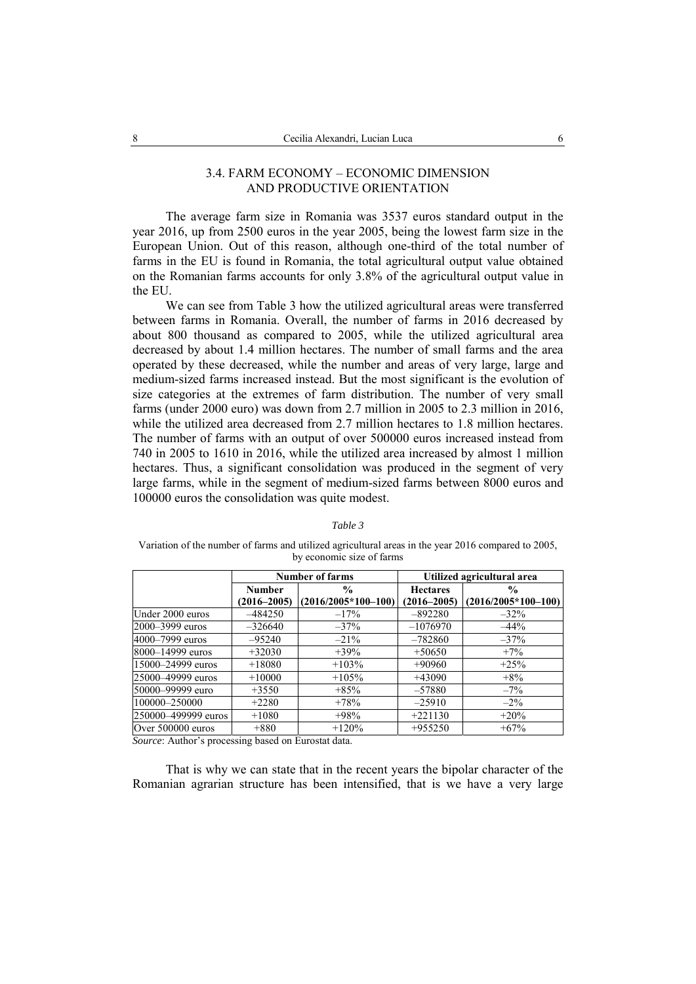## 3.4. FARM ECONOMY – ECONOMIC DIMENSION AND PRODUCTIVE ORIENTATION

The average farm size in Romania was 3537 euros standard output in the year 2016, up from 2500 euros in the year 2005, being the lowest farm size in the European Union. Out of this reason, although one-third of the total number of farms in the EU is found in Romania, the total agricultural output value obtained on the Romanian farms accounts for only 3.8% of the agricultural output value in the EU.

We can see from Table 3 how the utilized agricultural areas were transferred between farms in Romania. Overall, the number of farms in 2016 decreased by about 800 thousand as compared to 2005, while the utilized agricultural area decreased by about 1.4 million hectares. The number of small farms and the area operated by these decreased, while the number and areas of very large, large and medium-sized farms increased instead. But the most significant is the evolution of size categories at the extremes of farm distribution. The number of very small farms (under 2000 euro) was down from 2.7 million in 2005 to 2.3 million in 2016, while the utilized area decreased from 2.7 million hectares to 1.8 million hectares. The number of farms with an output of over 500000 euros increased instead from 740 in 2005 to 1610 in 2016, while the utilized area increased by almost 1 million hectares. Thus, a significant consolidation was produced in the segment of very large farms, while in the segment of medium-sized farms between 8000 euros and 100000 euros the consolidation was quite modest.

#### *Table 3*

Variation of the number of farms and utilized agricultural areas in the year 2016 compared to 2005, by economic size of farms

|                     |                 | <b>Number of farms</b> | Utilized agricultural area |                       |  |
|---------------------|-----------------|------------------------|----------------------------|-----------------------|--|
|                     | <b>Number</b>   | $\%$                   | <b>Hectares</b>            | $\frac{0}{0}$         |  |
|                     | $(2016 - 2005)$ | $(2016/2005*100-100)$  | $(2016 - 2005)$            | $(2016/2005*100-100)$ |  |
| Under 2000 euros    | $-484250$       | $-17%$                 | $-892280$                  | $-32\%$               |  |
| 2000–3999 euros     | $-326640$       | $-37%$                 | $-1076970$                 | $-44%$                |  |
| 4000–7999 euros     | $-95240$        | $-21\%$                | $-782860$                  | $-37%$                |  |
| 8000–14999 euros    | $+32030$        | $+39%$                 | $+50650$                   | $+7\%$                |  |
| 15000–24999 euros   | $+18080$        | $+103%$                | $+90960$                   | $+25%$                |  |
| 25000–49999 euros   | $+10000$        | $+105%$                | $+43090$                   | $+8%$                 |  |
| 50000–99999 euro    | $+3550$         | $+85%$                 | $-57880$                   | $-7\%$                |  |
| 100000-250000       | $+2280$         | $+78%$                 | $-25910$                   | $-2\%$                |  |
| 250000-499999 euros | $+1080$         | $+98%$                 | $+221130$                  | $+20%$                |  |
| Over 500000 euros   | $+880$          | $+120%$                | $+955250$                  | $+67%$                |  |

*Source*: Author's processing based on Eurostat data.

That is why we can state that in the recent years the bipolar character of the Romanian agrarian structure has been intensified, that is we have a very large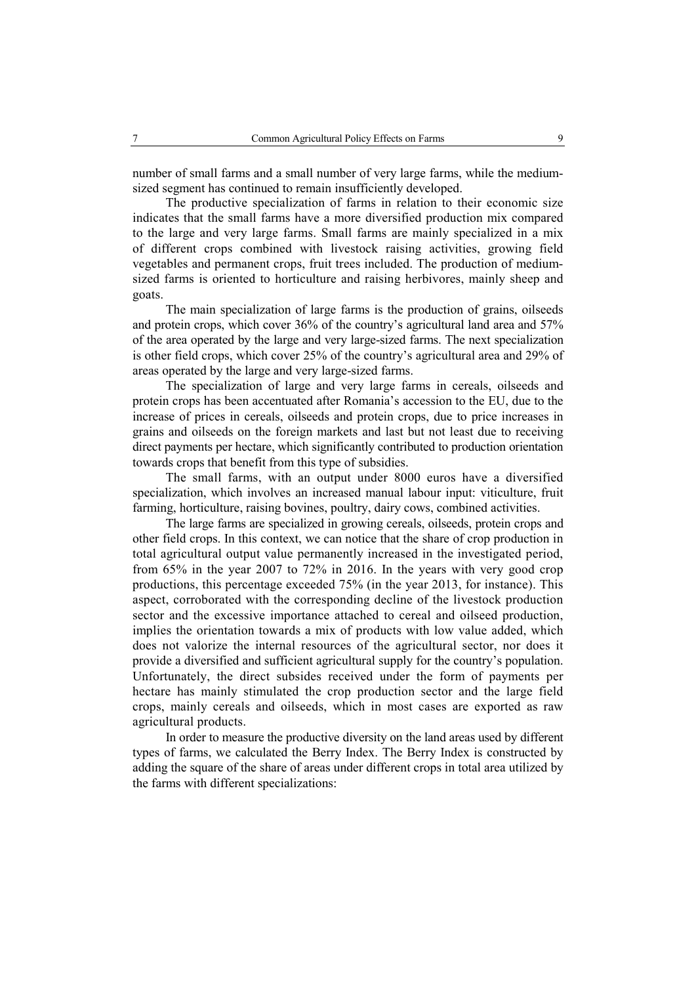number of small farms and a small number of very large farms, while the mediumsized segment has continued to remain insufficiently developed.

The productive specialization of farms in relation to their economic size indicates that the small farms have a more diversified production mix compared to the large and very large farms. Small farms are mainly specialized in a mix of different crops combined with livestock raising activities, growing field vegetables and permanent crops, fruit trees included. The production of mediumsized farms is oriented to horticulture and raising herbivores, mainly sheep and goats.

The main specialization of large farms is the production of grains, oilseeds and protein crops, which cover 36% of the country's agricultural land area and 57% of the area operated by the large and very large-sized farms. The next specialization is other field crops, which cover 25% of the country's agricultural area and 29% of areas operated by the large and very large-sized farms.

The specialization of large and very large farms in cereals, oilseeds and protein crops has been accentuated after Romania's accession to the EU, due to the increase of prices in cereals, oilseeds and protein crops, due to price increases in grains and oilseeds on the foreign markets and last but not least due to receiving direct payments per hectare, which significantly contributed to production orientation towards crops that benefit from this type of subsidies.

The small farms, with an output under 8000 euros have a diversified specialization, which involves an increased manual labour input: viticulture, fruit farming, horticulture, raising bovines, poultry, dairy cows, combined activities.

The large farms are specialized in growing cereals, oilseeds, protein crops and other field crops. In this context, we can notice that the share of crop production in total agricultural output value permanently increased in the investigated period, from 65% in the year 2007 to 72% in 2016. In the years with very good crop productions, this percentage exceeded 75% (in the year 2013, for instance). This aspect, corroborated with the corresponding decline of the livestock production sector and the excessive importance attached to cereal and oilseed production, implies the orientation towards a mix of products with low value added, which does not valorize the internal resources of the agricultural sector, nor does it provide a diversified and sufficient agricultural supply for the country's population. Unfortunately, the direct subsides received under the form of payments per hectare has mainly stimulated the crop production sector and the large field crops, mainly cereals and oilseeds, which in most cases are exported as raw agricultural products.

In order to measure the productive diversity on the land areas used by different types of farms, we calculated the Berry Index. The Berry Index is constructed by adding the square of the share of areas under different crops in total area utilized by the farms with different specializations: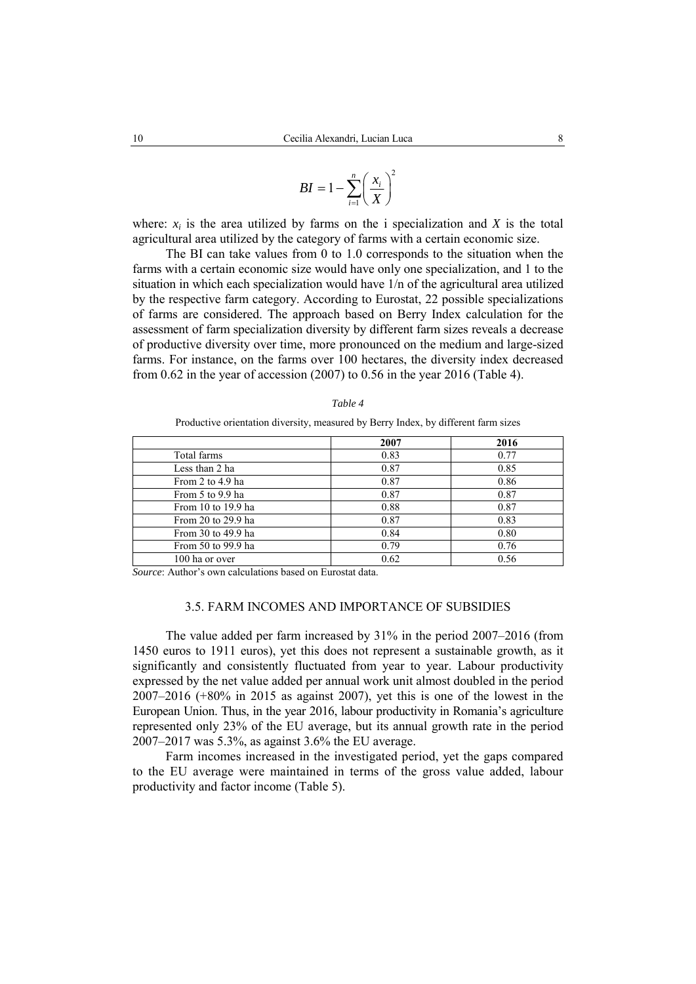$$
BI = 1 - \sum_{i=1}^{n} \left(\frac{x_i}{X}\right)^2
$$

where:  $x_i$  is the area utilized by farms on the i specialization and  $X$  is the total agricultural area utilized by the category of farms with a certain economic size.

The BI can take values from 0 to 1.0 corresponds to the situation when the farms with a certain economic size would have only one specialization, and 1 to the situation in which each specialization would have 1/n of the agricultural area utilized by the respective farm category. According to Eurostat, 22 possible specializations of farms are considered. The approach based on Berry Index calculation for the assessment of farm specialization diversity by different farm sizes reveals a decrease of productive diversity over time, more pronounced on the medium and large-sized farms. For instance, on the farms over 100 hectares, the diversity index decreased from 0.62 in the year of accession (2007) to 0.56 in the year 2016 (Table 4).

#### *Table 4*

Productive orientation diversity, measured by Berry Index, by different farm sizes

|                    | 2007 | 2016 |
|--------------------|------|------|
| Total farms        | 0.83 | 0.77 |
| Less than 2 ha     | 0.87 | 0.85 |
| From 2 to 4.9 ha   | 0.87 | 0.86 |
| From 5 to 9.9 ha   | 0.87 | 0.87 |
| From 10 to 19.9 ha | 0.88 | 0.87 |
| From 20 to 29.9 ha | 0.87 | 0.83 |
| From 30 to 49.9 ha | 0.84 | 0.80 |
| From 50 to 99.9 ha | 0.79 | 0.76 |
| 100 ha or over     | 0.62 | 0.56 |

*Source*: Author's own calculations based on Eurostat data.

### 3.5. FARM INCOMES AND IMPORTANCE OF SUBSIDIES

The value added per farm increased by 31% in the period 2007–2016 (from 1450 euros to 1911 euros), yet this does not represent a sustainable growth, as it significantly and consistently fluctuated from year to year. Labour productivity expressed by the net value added per annual work unit almost doubled in the period 2007–2016 (+80% in 2015 as against 2007), yet this is one of the lowest in the European Union. Thus, in the year 2016, labour productivity in Romania's agriculture represented only 23% of the EU average, but its annual growth rate in the period 2007–2017 was 5.3%, as against 3.6% the EU average.

Farm incomes increased in the investigated period, yet the gaps compared to the EU average were maintained in terms of the gross value added, labour productivity and factor income (Table 5).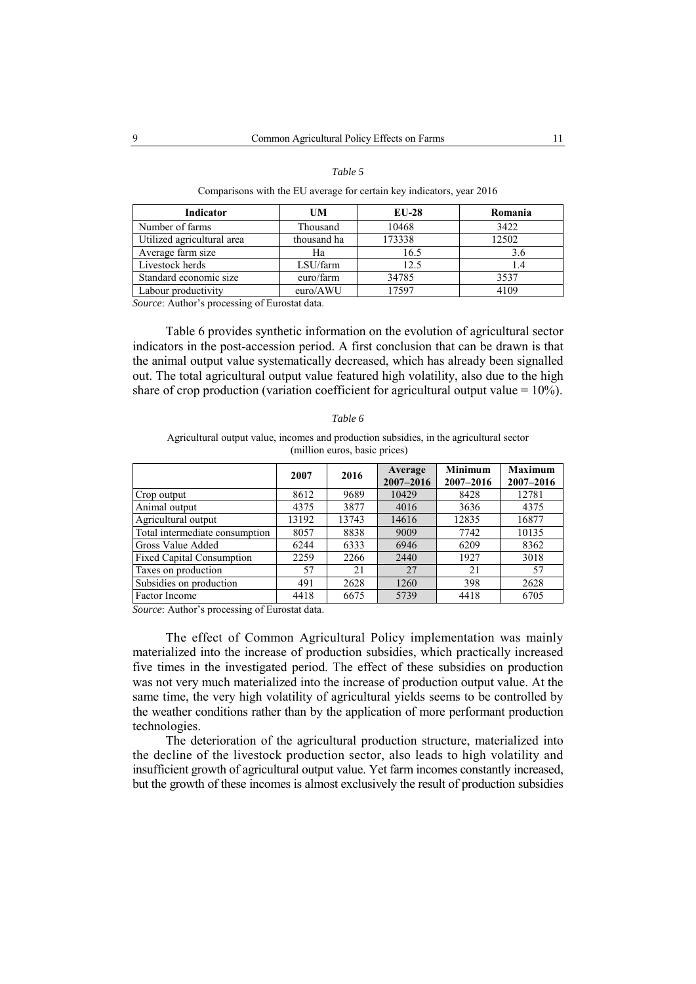### *Table 5*

### Comparisons with the EU average for certain key indicators, year 2016

| Indicator                  | UM                    | $EU-28$ | Romania |  |
|----------------------------|-----------------------|---------|---------|--|
| Number of farms            | Thousand              | 10468   | 3422    |  |
| Utilized agricultural area | 173338<br>thousand ha |         | 12502   |  |
| Average farm size          | Ha                    | 16.5    | 3.6     |  |
| Livestock herds            | LSU/farm              | 12.5    |         |  |
| Standard economic size     | euro/farm             | 34785   | 3537    |  |
| Labour productivity        | euro/AWU              | 17597   | 4109    |  |

*Source*: Author's processing of Eurostat data.

Table 6 provides synthetic information on the evolution of agricultural sector indicators in the post-accession period. A first conclusion that can be drawn is that the animal output value systematically decreased, which has already been signalled out. The total agricultural output value featured high volatility, also due to the high share of crop production (variation coefficient for agricultural output value  $= 10\%$ ).

### *Table 6*

Agricultural output value, incomes and production subsidies, in the agricultural sector (million euros, basic prices)

|                                | 2007  | 2016  | Average<br>2007-2016 | <b>Minimum</b><br>2007-2016 | <b>Maximum</b><br>2007-2016 |
|--------------------------------|-------|-------|----------------------|-----------------------------|-----------------------------|
| Crop output                    | 8612  | 9689  | 10429                | 8428                        | 12781                       |
| Animal output                  | 4375  | 3877  | 4016                 | 3636                        | 4375                        |
| Agricultural output            | 13192 | 13743 | 14616                | 12835                       | 16877                       |
| Total intermediate consumption | 8057  | 8838  | 9009                 | 7742                        | 10135                       |
| Gross Value Added              | 6244  | 6333  | 6946                 | 6209                        | 8362                        |
| Fixed Capital Consumption      | 2259  | 2266  | 2440                 | 1927                        | 3018                        |
| Taxes on production            | 57    | 21    | 27                   | 21                          | 57                          |
| Subsidies on production        | 491   | 2628  | 1260                 | 398                         | 2628                        |
| Factor Income                  | 4418  | 6675  | 5739                 | 4418                        | 6705                        |

*Source*: Author's processing of Eurostat data.

The effect of Common Agricultural Policy implementation was mainly materialized into the increase of production subsidies, which practically increased five times in the investigated period. The effect of these subsidies on production was not very much materialized into the increase of production output value. At the same time, the very high volatility of agricultural yields seems to be controlled by the weather conditions rather than by the application of more performant production technologies.

The deterioration of the agricultural production structure, materialized into the decline of the livestock production sector, also leads to high volatility and insufficient growth of agricultural output value. Yet farm incomes constantly increased, but the growth of these incomes is almost exclusively the result of production subsidies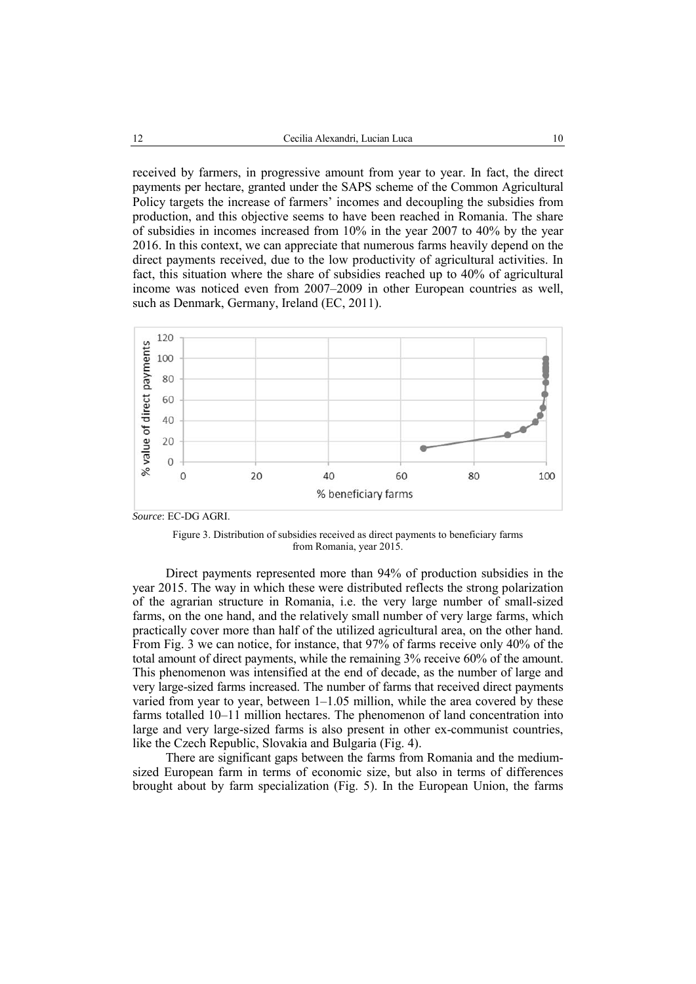received by farmers, in progressive amount from year to year. In fact, the direct payments per hectare, granted under the SAPS scheme of the Common Agricultural Policy targets the increase of farmers' incomes and decoupling the subsidies from production, and this objective seems to have been reached in Romania. The share of subsidies in incomes increased from 10% in the year 2007 to 40% by the year 2016. In this context, we can appreciate that numerous farms heavily depend on the direct payments received, due to the low productivity of agricultural activities. In fact, this situation where the share of subsidies reached up to 40% of agricultural income was noticed even from 2007–2009 in other European countries as well, such as Denmark, Germany, Ireland (EC, 2011).



*Source*: EC-DG AGRI.

Figure 3. Distribution of subsidies received as direct payments to beneficiary farms from Romania, year 2015.

Direct payments represented more than 94% of production subsidies in the year 2015. The way in which these were distributed reflects the strong polarization of the agrarian structure in Romania, i.e. the very large number of small-sized farms, on the one hand, and the relatively small number of very large farms, which practically cover more than half of the utilized agricultural area, on the other hand. From Fig. 3 we can notice, for instance, that 97% of farms receive only 40% of the total amount of direct payments, while the remaining 3% receive 60% of the amount. This phenomenon was intensified at the end of decade, as the number of large and very large-sized farms increased. The number of farms that received direct payments varied from year to year, between  $1-1.05$  million, while the area covered by these farms totalled 10–11 million hectares. The phenomenon of land concentration into large and very large-sized farms is also present in other ex-communist countries, like the Czech Republic, Slovakia and Bulgaria (Fig. 4).

There are significant gaps between the farms from Romania and the mediumsized European farm in terms of economic size, but also in terms of differences brought about by farm specialization (Fig. 5). In the European Union, the farms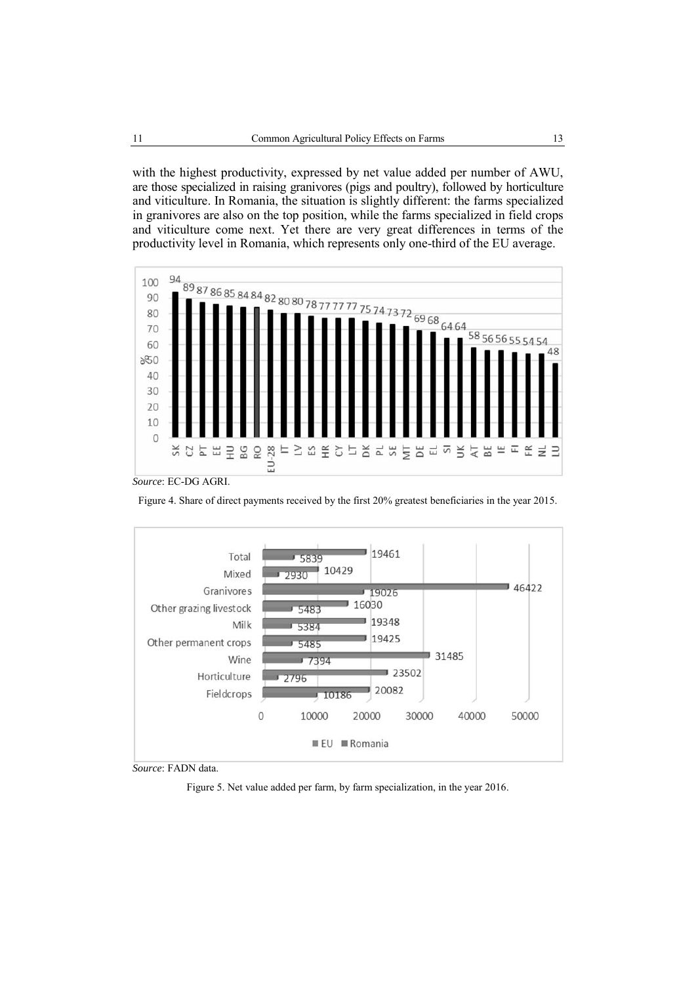with the highest productivity, expressed by net value added per number of AWU, are those specialized in raising granivores (pigs and poultry), followed by horticulture and viticulture. In Romania, the situation is slightly different: the farms specialized in granivores are also on the top position, while the farms specialized in field crops and viticulture come next. Yet there are very great differences in terms of the productivity level in Romania, which represents only one-third of the EU average.





Figure 4. Share of direct payments received by the first 20% greatest beneficiaries in the year 2015.



*Source*: FADN data.

Figure 5. Net value added per farm, by farm specialization, in the year 2016.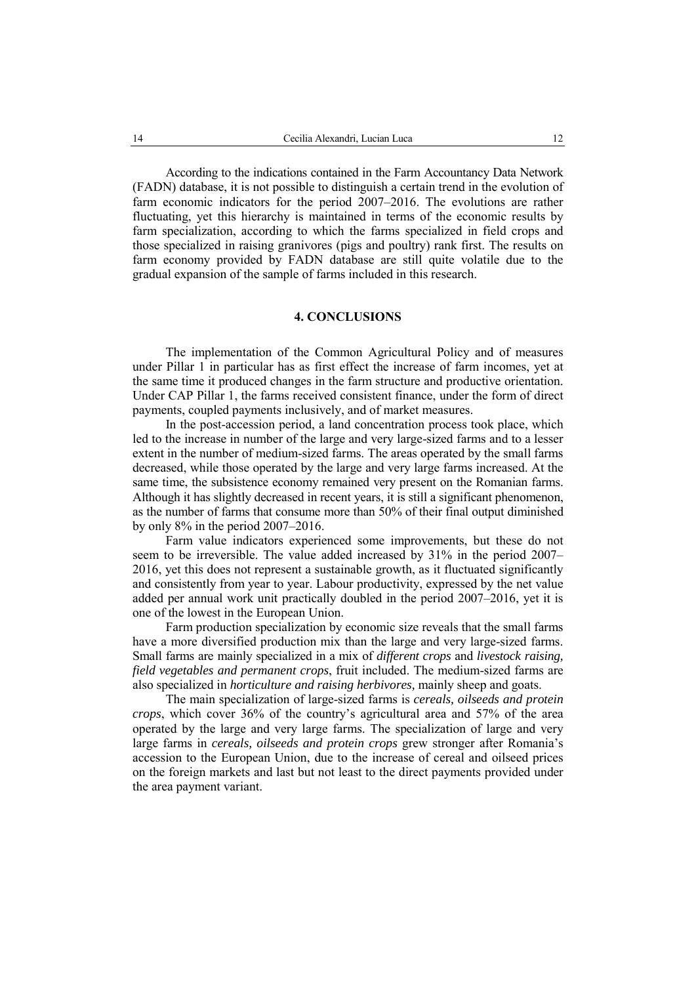According to the indications contained in the Farm Accountancy Data Network (FADN) database, it is not possible to distinguish a certain trend in the evolution of farm economic indicators for the period 2007–2016. The evolutions are rather fluctuating, yet this hierarchy is maintained in terms of the economic results by farm specialization, according to which the farms specialized in field crops and those specialized in raising granivores (pigs and poultry) rank first. The results on farm economy provided by FADN database are still quite volatile due to the gradual expansion of the sample of farms included in this research.

### **4. CONCLUSIONS**

The implementation of the Common Agricultural Policy and of measures under Pillar 1 in particular has as first effect the increase of farm incomes, yet at the same time it produced changes in the farm structure and productive orientation. Under CAP Pillar 1, the farms received consistent finance, under the form of direct payments, coupled payments inclusively, and of market measures.

In the post-accession period, a land concentration process took place, which led to the increase in number of the large and very large-sized farms and to a lesser extent in the number of medium-sized farms. The areas operated by the small farms decreased, while those operated by the large and very large farms increased. At the same time, the subsistence economy remained very present on the Romanian farms. Although it has slightly decreased in recent years, it is still a significant phenomenon, as the number of farms that consume more than 50% of their final output diminished by only 8% in the period 2007–2016.

Farm value indicators experienced some improvements, but these do not seem to be irreversible. The value added increased by 31% in the period 2007– 2016, yet this does not represent a sustainable growth, as it fluctuated significantly and consistently from year to year. Labour productivity, expressed by the net value added per annual work unit practically doubled in the period 2007–2016, yet it is one of the lowest in the European Union.

Farm production specialization by economic size reveals that the small farms have a more diversified production mix than the large and very large-sized farms. Small farms are mainly specialized in a mix of *different crops* and *livestock raising, field vegetables and permanent crops*, fruit included. The medium-sized farms are also specialized in *horticulture and raising herbivores,* mainly sheep and goats.

The main specialization of large-sized farms is *cereals, oilseeds and protein crops*, which cover 36% of the country's agricultural area and 57% of the area operated by the large and very large farms. The specialization of large and very large farms in *cereals, oilseeds and protein crops* grew stronger after Romania's accession to the European Union, due to the increase of cereal and oilseed prices on the foreign markets and last but not least to the direct payments provided under the area payment variant.